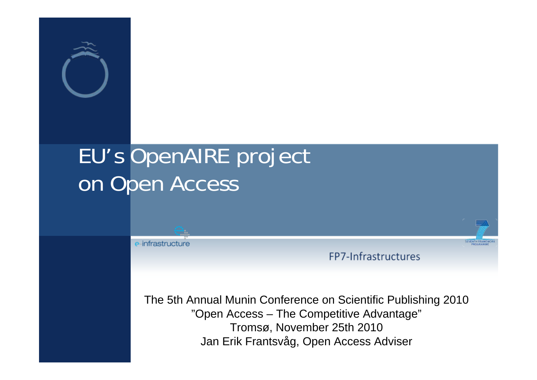

### EU's OpenAIRE project on Open Access

e-infrastructure

FP7-Infrastructures

**SEVENTH FRAM** 

The 5th Annual Munin Conference on Scientific Publishing 2010 "Open Access – The Competitive Advantage" Tromsø, November 25th 2010 Jan Erik Frantsvåg, Open Access Adviser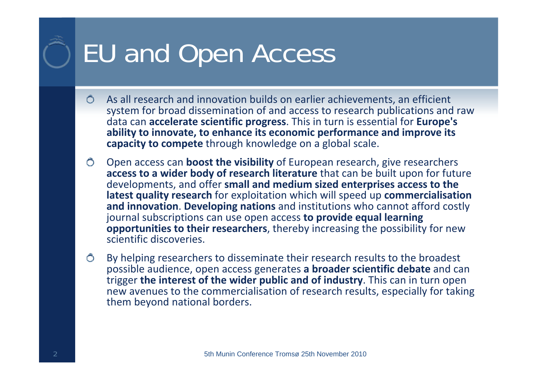# EU and Open Access

- $\bigcirc$ As all research and innovation builds on earlier achievements, an efficient system for broad dissemination of and access to research publications and raw data can **accelerate scientific progress**. This in turn is essential for **Europe's ability to innovate, to enhance its economic performance and improve its capacity to compete** through knowledge on a global scale.
- $\bigcirc$ Open access can **boost the visibility** of European research, give researchers **access to a wider body of research literature** that can be built upon for future developments, and offer **small and medium sized enterprises access to the latest quality research** for exploitation which will speed up **commercialisation and innovation**. **Developing nations** and institutions who cannot afford costly journal subscriptions can use open access **to provide equal learning opportunities to their researchers**, thereby increasing the possibility for new scientific discoveries.
- Õ By helping researchers to disseminate their research results to the broadest possible audience, open access generates **a broader scientific debate** and can trigger **the interest of the wider public and of industry**. This can in turn open new avenues to the commercialisation of research results, especially for taking them beyond national borders.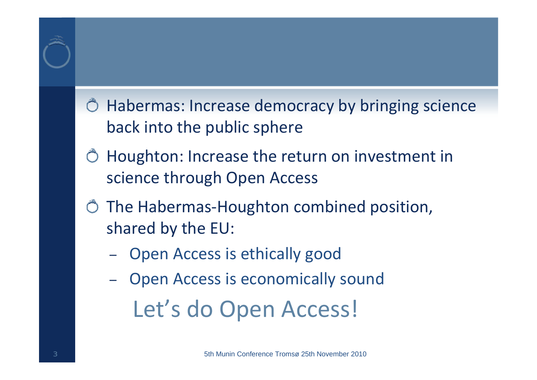#### Habermas: Increase democracy by bringing science back into the public sphere

- Houghton: Increase the return on investment in science through Open Access
- The Habermas ‐Houghton combined position, shared by the EU:
	- –Open Access is ethically good
	- – Open Access is economically sound Let's do Open Access!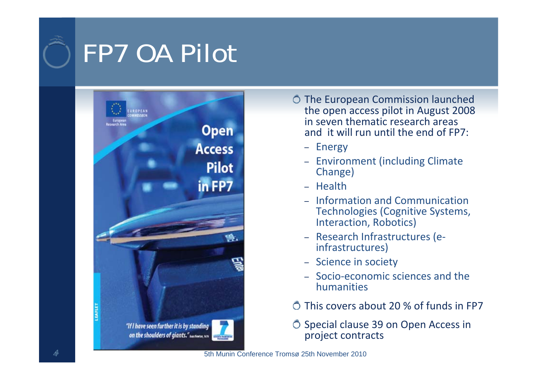## FP7 OA Pilot



The European Commission launched the open access pilot in August 2008 in seven thematic research areas and it will run until the end of FP7:

- Energy
- Environment (including Climate Change)
- Health
- Information and Communication Technologies (Cognitive Systems, Interaction, Robotics)
- Research Infrastructures (e‐ infrastructures)
- Science in society
- Socio‐economic sciences and the humanities
- This covers about 20% of funds in FP7

O Special clause 39 on Open Access in project contracts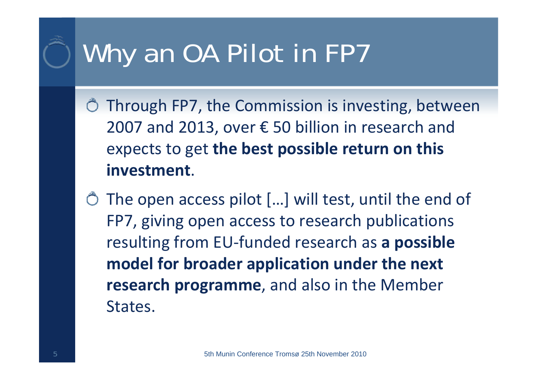# Why an OA Pilot in FP7

- $\bullet$  Through FP7, the Commission is investing, between 2007 and 2013, over € 5 0 billion in research and expects to get **the best possible return on this investment**.
- The open access pilot […] will test, until the end of FP7, giving open access to research publications resulting from EU ‐funded research as **a possible model for broader application under the next research programme**, and also in the Member States.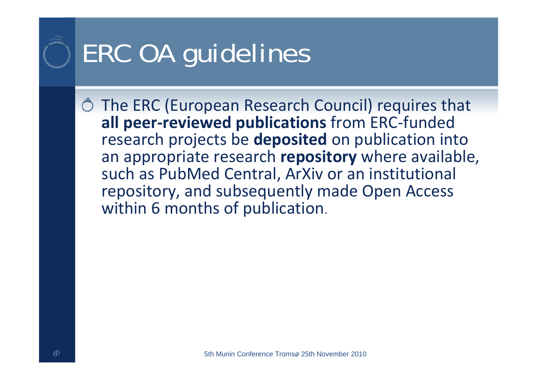# ERC OA guidelines

The ERC (European Research Council) requires that **all peer ‐reviewed publications** from ERC ‐funded research projects be **deposited** on publication into an appropriate research **repository** where available, such as PubMed Central, ArXiv or an institutional repository, and subsequently made Open Access within 6 months of publication.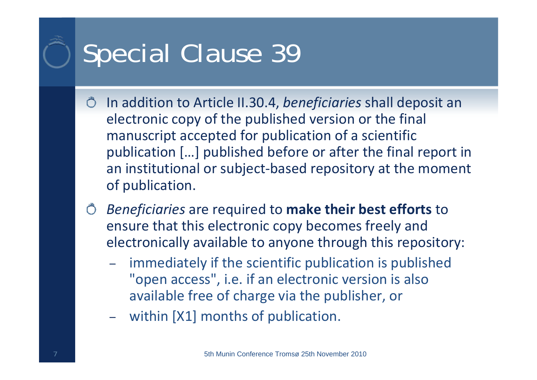## Special Clause 39

- In addition to Article II.30.4, *beneficiaries* shall deposit an  $\bigcirc$ electronic copy of the published version or the final manuscript accepted for publication of a scientific publication […] published before or after the final report in an institutional or subject ‐based repository at the moment of publication.
- *Beneficiaries* are required to **make their best efforts** to ensure that this electronic copy becomes freely and electronically available to anyone through this repository:
	- – immediately if the scientific publication is published "open access", i.e. if an electronic version is also available free of charge via the publisher, or
	- –within [X1] months of publication.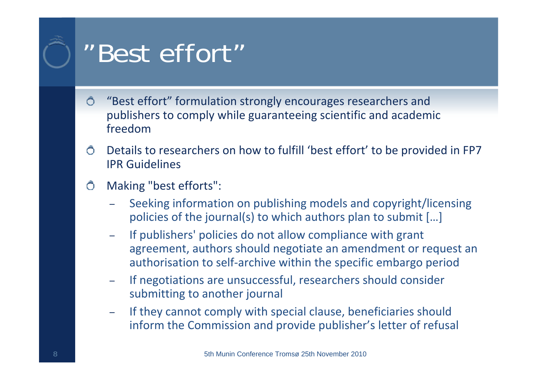### "Best effort"

- $\bigcirc$ "Best effort" formulation strongly encourages researchers and publishers to comply while guaranteeing scientific and academic freedom
- Details to researchers on how to fulfill 'best effort' to be provided in FP7  $\bigcirc$ IPR Guidelines
- Making "best efforts":  $\bigcirc$ 
	- – Seeking information on publishing models and copyright/licensing policies of the journal(s) to which authors plan to submit […]
	- – If publishers' policies do not allow compliance with grant agreement, authors should negotiate an amendment or request an authorisation to self ‐archive within the specific embargo period
	- – If negotiations are unsuccessful, researchers should consider submitting to another journal
	- – If they cannot comply with special clause, beneficiaries should inform the Commission and provide publisher's letter of refusal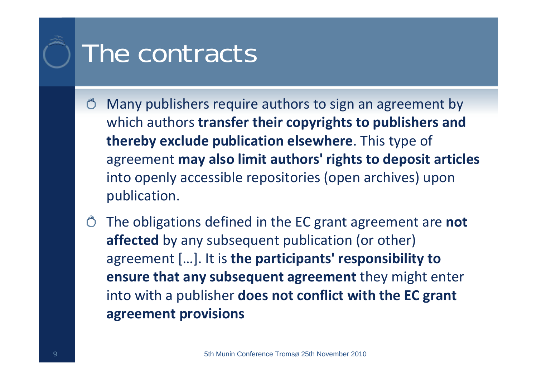### The contracts

- Many publishers require authors to sign an agreement by  $\bigcirc$ which authors **transfer their copyrights to publishers and thereby exclude publication elsewhere**. This type of agreement **may also limit authors' rights to deposit articles** into openly accessible repositories (open archives) upon publication.
- The obligations defined in the EC grant agreement are **not affected** by any subsequent publication (or other) agreement […]. It is **the participants' responsibility to ensure that any subsequent agreement** they might enter into with a publisher **does not conflict with the EC grant agreement provisions**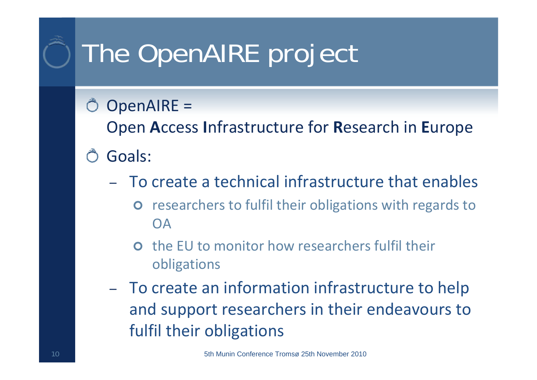# The OpenAIRE project

#### OpenAIRE =

Open **A**ccess **I**nfrastructure for **R**esearch in **E**urope

- Goals:
	- To create a technical infrastructure that enables
		- $\bullet$  researchers to fulfil their obligations with regards to OA
		- **O** the EU to monitor how researchers fulfil their obligations
	- To create an information infrastructure to help and support researchers in their endeavours to fulfil their obligations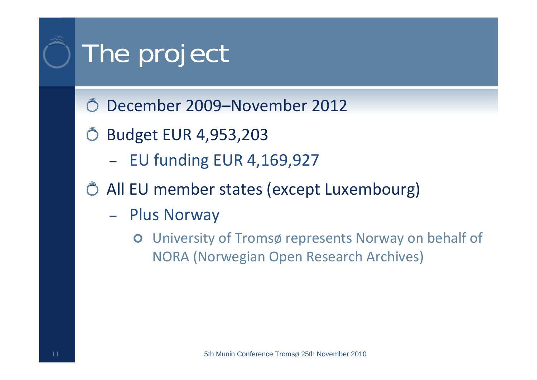# The project

- December 2009–November 2012
- Budget EUR 4,953,203
	- EU funding EUR 4,169,927
- All EU member states (except Luxembourg)
	- – Plus Norway
		- $\bullet$  University of Tromsø represents Norway on behalf of NORA (Norwegian Open Research Archives)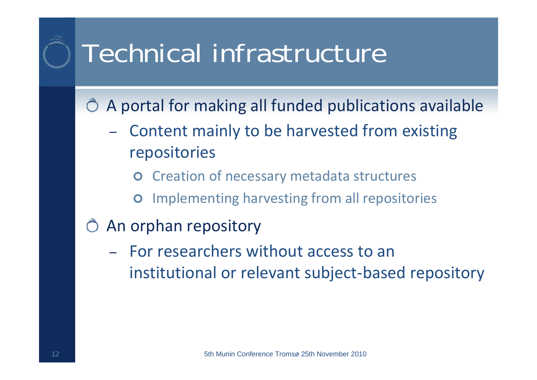### Technical infrastructure

A portal for making all funded publications available

- – Content mainly to be harvested from existing repositories
	- $\bullet$ Creation of necessary metadata structures
	- $\bullet$ Implementing harvesting from all repositories
- An orphan repository
	- –- For researchers without access to an institutional or relevant subject ‐based repository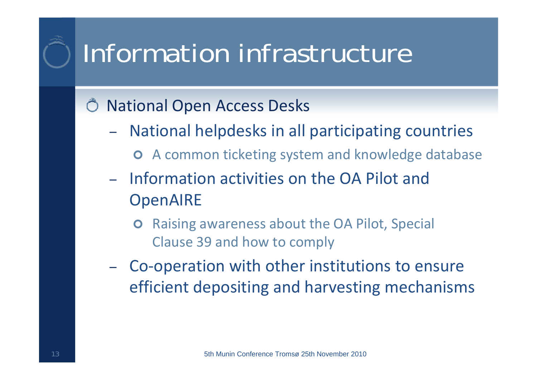## Information infrastructure

#### National Open Access Desks

- – National helpdesks in all participating countries
	- **O** A common ticketing system and knowledge database
- –- Information activities on the OA Pilot and OpenAIRE
	- $\bullet$  Raising awareness about the OA Pilot, Special Clause 39 and how to comply
- Co ‐operation with other institutions to ensure efficient depositing and harvesting mechanisms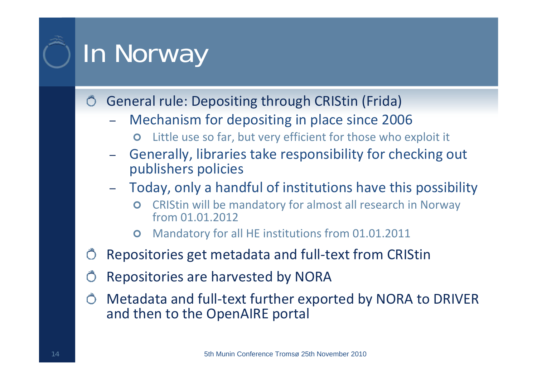# In Norway

General rule: Depositing through CRIStin (Frida)

- – Mechanism for depositing in place since 2006
	- $\bullet$ Little use so far, but very efficient for those who exploit it
- – Generally, libraries take responsibility for checking out publishers policies
- – Today, only a handful of institutions have this possibility
	- $\bullet$  CRIStin will be mandatory for almost all research in Norway from 01.01.2012
	- $\bullet$ Mandatory for all HE institutions from 01.01.2011
- Repositories get metadata and full ‐text from CRIStin
- Repositories are harvested by NORA
- Metadata and full ‐text further exported by NORA to DRIVER and then to the OpenAIRE portal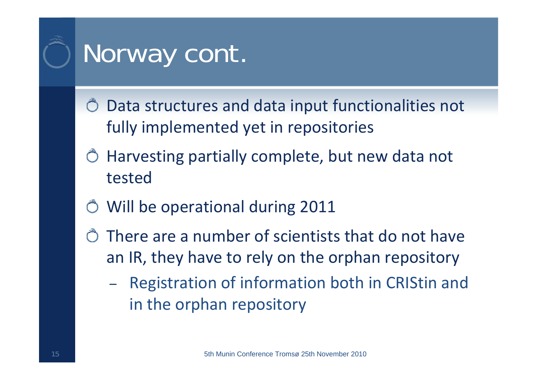### Norway cont.

- Data structures and data input functionalities not fully implemented yet in repositories
- Harvesting partially complete, but new data not tested
- Will be operational during 2011
- There are a number of scientists that do not have an IR, they have to rely on the orphan repository
	- – Registration of information both in CRIStin and in the orphan repository